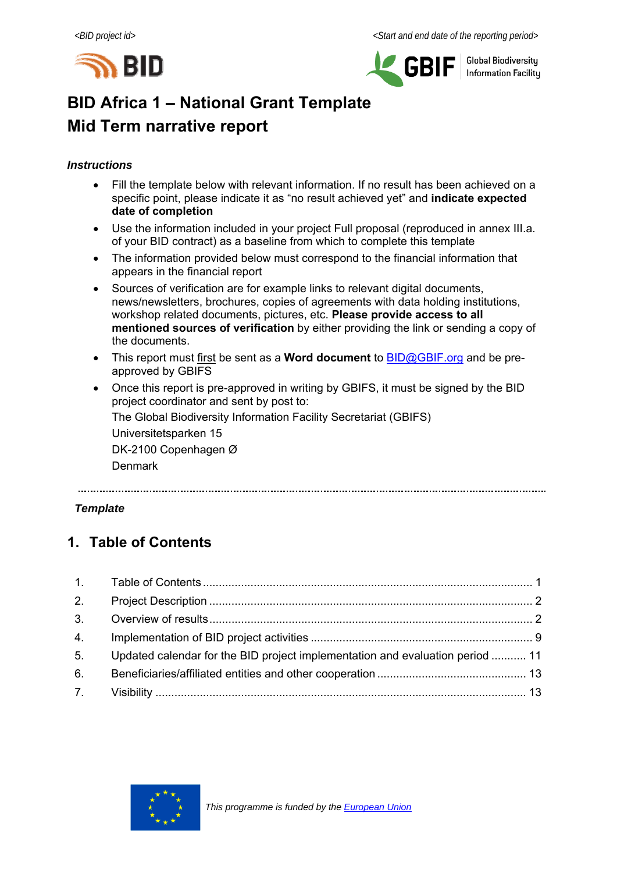



**Global Biodiversity Information Facilitu** 

# **BID Africa 1 – National Grant Template Mid Term narrative report**

#### *Instructions*

- Fill the template below with relevant information. If no result has been achieved on a specific point, please indicate it as "no result achieved yet" and **indicate expected date of completion**
- Use the information included in your project Full proposal (reproduced in annex III.a. of your BID contract) as a baseline from which to complete this template
- The information provided below must correspond to the financial information that appears in the financial report
- Sources of verification are for example links to relevant digital documents, news/newsletters, brochures, copies of agreements with data holding institutions, workshop related documents, pictures, etc. **Please provide access to all mentioned sources of verification** by either providing the link or sending a copy of the documents.
- This report must first be sent as a **Word document** to BID@GBIF.org and be preapproved by GBIFS
- Once this report is pre-approved in writing by GBIFS, it must be signed by the BID project coordinator and sent by post to:

The Global Biodiversity Information Facility Secretariat (GBIFS) Universitetsparken 15

DK-2100 Copenhagen Ø

**Denmark** 

#### *Template*

## **1. Table of Contents**

| 2. |                                                                               |  |
|----|-------------------------------------------------------------------------------|--|
| 3. |                                                                               |  |
| 4. |                                                                               |  |
| 5. | Updated calendar for the BID project implementation and evaluation period  11 |  |
| 6. |                                                                               |  |
|    |                                                                               |  |

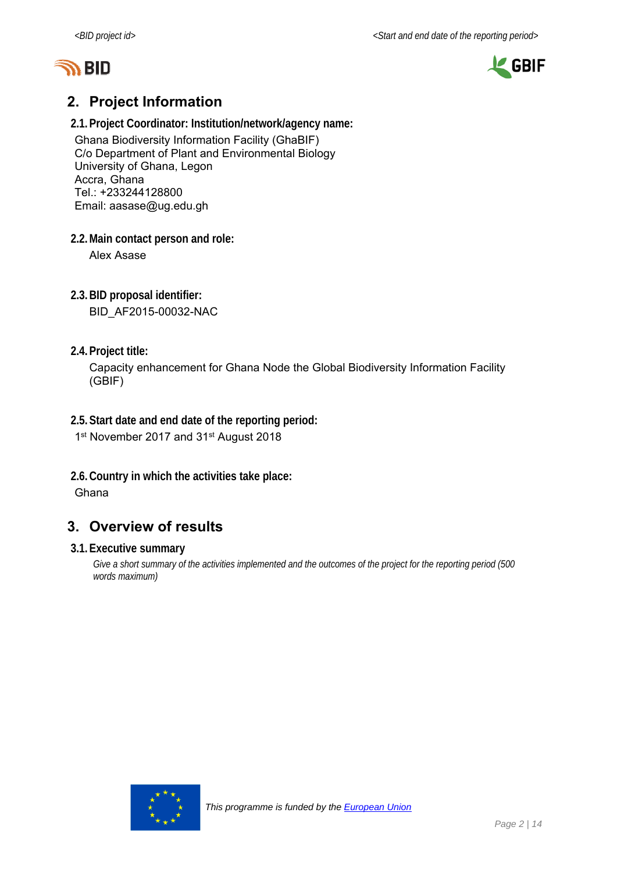



# **2. Project Information**

- **2.1.Project Coordinator: Institution/network/agency name:**  Ghana Biodiversity Information Facility (GhaBIF) C/o Department of Plant and Environmental Biology University of Ghana, Legon Accra, Ghana Tel.: +233244128800 Email: aasase@ug.edu.gh
- **2.2.Main contact person and role:**  Alex Asase

- **2.3.BID proposal identifier:**  BID\_AF2015-00032-NAC
- **2.4.Project title:**

Capacity enhancement for Ghana Node the Global Biodiversity Information Facility (GBIF)

**2.5.Start date and end date of the reporting period:** 

1<sup>st</sup> November 2017 and 31<sup>st</sup> August 2018

**2.6.Country in which the activities take place:**  Ghana

# **3. Overview of results**

**3.1.Executive summary** 

*Give a short summary of the activities implemented and the outcomes of the project for the reporting period (500 words maximum)* 

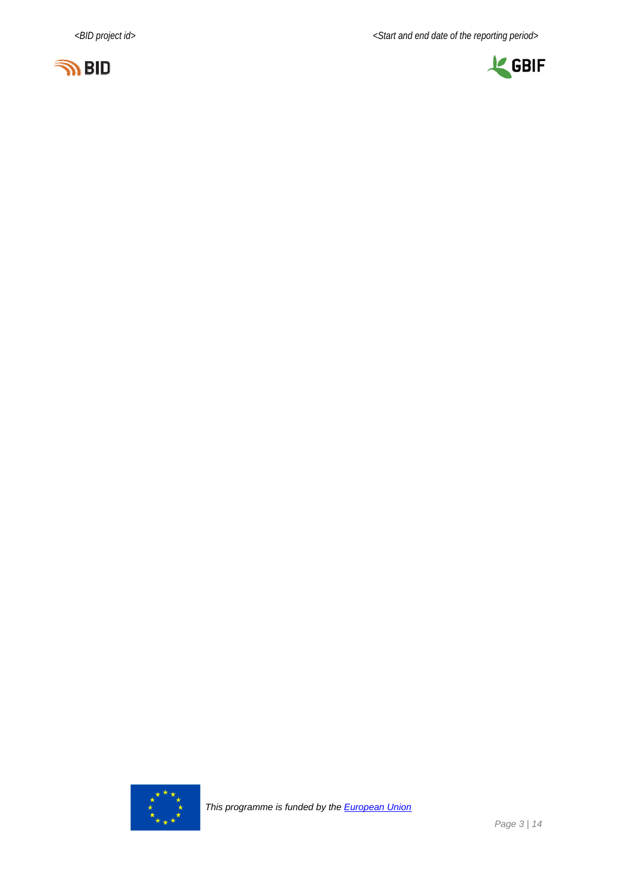*<BID project id> <Start and end date of the reporting period>* 





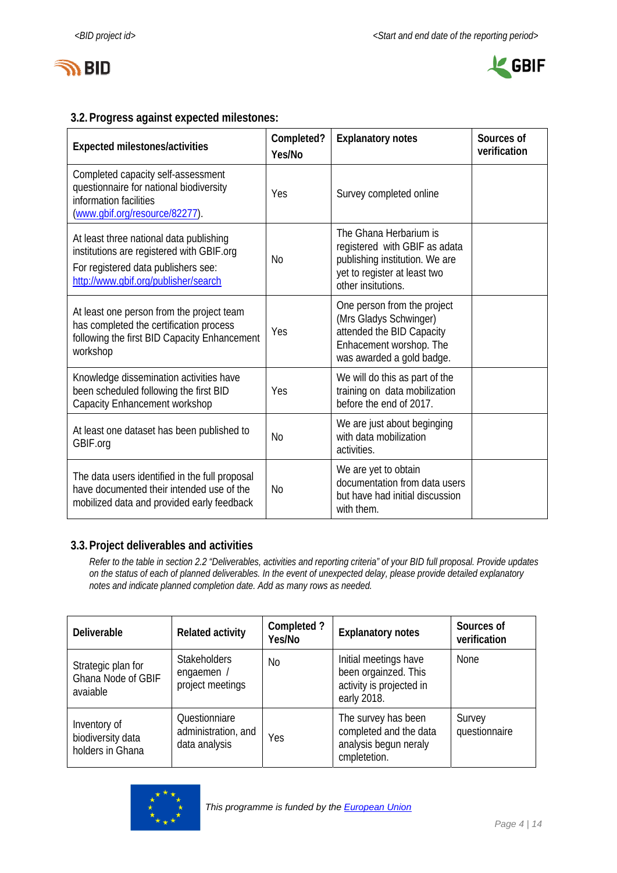



### **3.2.Progress against expected milestones:**

| <b>Expected milestones/activities</b>                                                                                                                               | Completed?<br>Yes/No | <b>Explanatory notes</b>                                                                                                                        | Sources of<br>verification |
|---------------------------------------------------------------------------------------------------------------------------------------------------------------------|----------------------|-------------------------------------------------------------------------------------------------------------------------------------------------|----------------------------|
| Completed capacity self-assessment<br>questionnaire for national biodiversity<br>information facilities<br>(www.gbif.org/resource/82277).                           | Yes                  | Survey completed online                                                                                                                         |                            |
| At least three national data publishing<br>institutions are registered with GBIF org<br>For registered data publishers see:<br>http://www.qbif.org/publisher/search | N <sub>0</sub>       | The Ghana Herbarium is<br>registered with GBIF as adata<br>publishing institution. We are<br>yet to register at least two<br>other insitutions. |                            |
| At least one person from the project team<br>has completed the certification process<br>following the first BID Capacity Enhancement<br>workshop                    | Yes                  | One person from the project<br>(Mrs Gladys Schwinger)<br>attended the BID Capacity<br>Enhacement worshop. The<br>was awarded a gold badge.      |                            |
| Knowledge dissemination activities have<br>been scheduled following the first BID<br>Capacity Enhancement workshop                                                  | Yes                  | We will do this as part of the<br>training on data mobilization<br>before the end of 2017.                                                      |                            |
| At least one dataset has been published to<br>GBIF.org                                                                                                              | <b>No</b>            | We are just about beginging<br>with data mobilization<br>activities.                                                                            |                            |
| The data users identified in the full proposal<br>have documented their intended use of the<br>mobilized data and provided early feedback                           | <b>No</b>            | We are yet to obtain<br>documentation from data users<br>but have had initial discussion<br>with them.                                          |                            |

#### **3.3.Project deliverables and activities**

*Refer to the table in section 2.2 "Deliverables, activities and reporting criteria" of your BID full proposal. Provide updates on the status of each of planned deliverables. In the event of unexpected delay, please provide detailed explanatory notes and indicate planned completion date. Add as many rows as needed.* 

| Deliverable                                           | <b>Related activity</b>                               | Completed?<br>Yes/No | <b>Explanatory notes</b>                                                                 | Sources of<br>verification |
|-------------------------------------------------------|-------------------------------------------------------|----------------------|------------------------------------------------------------------------------------------|----------------------------|
| Strategic plan for<br>Ghana Node of GBIF<br>avaiable  | <b>Stakeholders</b><br>engaemen /<br>project meetings | No                   | Initial meetings have<br>been orgainzed. This<br>activity is projected in<br>early 2018. | None                       |
| Inventory of<br>biodiversity data<br>holders in Ghana | Questionniare<br>administration, and<br>data analysis | Yes                  | The survey has been<br>completed and the data<br>analysis begun neraly<br>cmpletetion.   | Survey<br>questionnaire    |

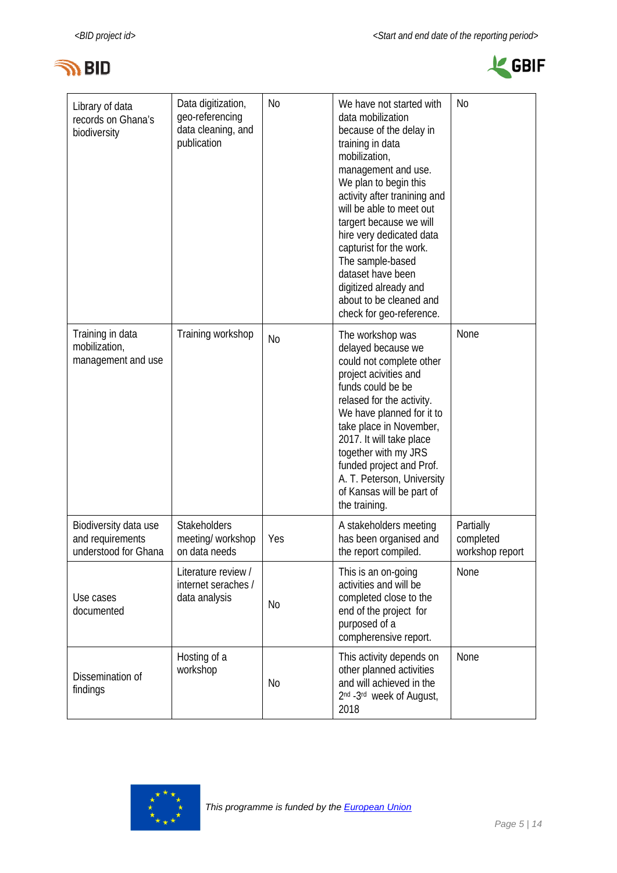



| Library of data<br>records on Ghana's<br>biodiversity             | Data digitization,<br>geo-referencing<br>data cleaning, and<br>publication | No             | We have not started with<br>data mobilization<br>because of the delay in<br>training in data<br>mobilization,<br>management and use.<br>We plan to begin this<br>activity after tranining and<br>will be able to meet out<br>targert because we will<br>hire very dedicated data<br>capturist for the work.<br>The sample-based<br>dataset have been<br>digitized already and<br>about to be cleaned and<br>check for geo-reference. | <b>No</b>                                 |
|-------------------------------------------------------------------|----------------------------------------------------------------------------|----------------|--------------------------------------------------------------------------------------------------------------------------------------------------------------------------------------------------------------------------------------------------------------------------------------------------------------------------------------------------------------------------------------------------------------------------------------|-------------------------------------------|
| Training in data<br>mobilization,<br>management and use           | Training workshop                                                          | N <sub>0</sub> | The workshop was<br>delayed because we<br>could not complete other<br>project acivities and<br>funds could be be<br>relased for the activity.<br>We have planned for it to<br>take place in November,<br>2017. It will take place<br>together with my JRS<br>funded project and Prof.<br>A. T. Peterson, University<br>of Kansas will be part of<br>the training.                                                                    | None                                      |
| Biodiversity data use<br>and requirements<br>understood for Ghana | <b>Stakeholders</b><br>meeting/workshop<br>on data needs                   | Yes            | A stakeholders meeting<br>has been organised and<br>the report compiled.                                                                                                                                                                                                                                                                                                                                                             | Partially<br>completed<br>workshop report |
| Use cases<br>documented                                           | Literature review /<br>internet seraches /<br>data analysis                | <b>No</b>      | This is an on-going<br>activities and will be<br>completed close to the<br>end of the project for<br>purposed of a<br>compherensive report.                                                                                                                                                                                                                                                                                          | None                                      |
| Dissemination of<br>findings                                      | Hosting of a<br>workshop                                                   | <b>No</b>      | This activity depends on<br>other planned activities<br>and will achieved in the<br>2 <sup>nd</sup> -3 <sup>rd</sup> week of August,<br>2018                                                                                                                                                                                                                                                                                         | None                                      |

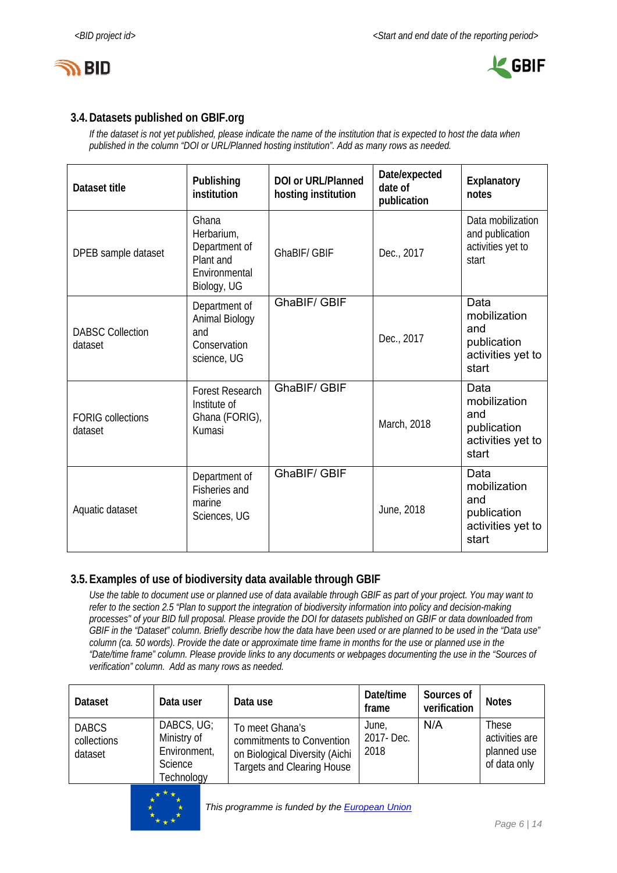



### **3.4.Datasets published on GBIF.org**

*If the dataset is not yet published, please indicate the name of the institution that is expected to host the data when published in the column "DOI or URL/Planned hosting institution". Add as many rows as needed.* 

| <b>Dataset title</b>                | Publishing<br>institution                                                                | <b>DOI or URL/Planned</b><br>hosting institution | Date/expected<br>date of<br>publication | Explanatory<br>notes                                                     |
|-------------------------------------|------------------------------------------------------------------------------------------|--------------------------------------------------|-----------------------------------------|--------------------------------------------------------------------------|
| DPEB sample dataset                 | Ghana<br>Herbarium,<br>Department of<br>Plant and<br><b>Fnvironmental</b><br>Biology, UG | <b>GhaBIF/ GBIF</b>                              | Dec., 2017                              | Data mobilization<br>and publication<br>activities yet to<br>start       |
| <b>DABSC Collection</b><br>dataset  | Department of<br>Animal Biology<br>and<br>Conservation<br>science, UG                    | GhaBIF/ GBIF                                     | Dec., 2017                              | Data<br>mobilization<br>and<br>publication<br>activities yet to<br>start |
| <b>FORIG collections</b><br>dataset | <b>Forest Research</b><br>Institute of<br>Ghana (FORIG),<br>Kumasi                       | GhaBIF/ GBIF                                     | March, 2018                             | Data<br>mobilization<br>and<br>publication<br>activities yet to<br>start |
| Aquatic dataset                     | Department of<br>Fisheries and<br>marine<br>Sciences, UG                                 | GhaBIF/ GBIF                                     | June, 2018                              | Data<br>mobilization<br>and<br>publication<br>activities yet to<br>start |

#### **3.5.Examples of use of biodiversity data available through GBIF**

*Use the table to document use or planned use of data available through GBIF as part of your project. You may want to refer to the section 2.5 "Plan to support the integration of biodiversity information into policy and decision-making processes" of your BID full proposal. Please provide the DOI for datasets published on GBIF or data downloaded from GBIF in the "Dataset" column. Briefly describe how the data have been used or are planned to be used in the "Data use" column (ca. 50 words). Provide the date or approximate time frame in months for the use or planned use in the "Date/time frame" column. Please provide links to any documents or webpages documenting the use in the "Sources of verification" column. Add as many rows as needed.* 

| <b>Dataset</b>                         | Data user                                                          | Data use                                                                                                            | Date/time<br>frame          | Sources of<br>verification | <b>Notes</b>                                                  |
|----------------------------------------|--------------------------------------------------------------------|---------------------------------------------------------------------------------------------------------------------|-----------------------------|----------------------------|---------------------------------------------------------------|
| <b>DABCS</b><br>collections<br>dataset | DABCS, UG;<br>Ministry of<br>Environment,<br>Science<br>Technology | To meet Ghana's<br>commitments to Convention<br>on Biological Diversity (Aichi<br><b>Targets and Clearing House</b> | June,<br>2017- Dec.<br>2018 | N/A                        | <b>These</b><br>activities are<br>planned use<br>of data only |

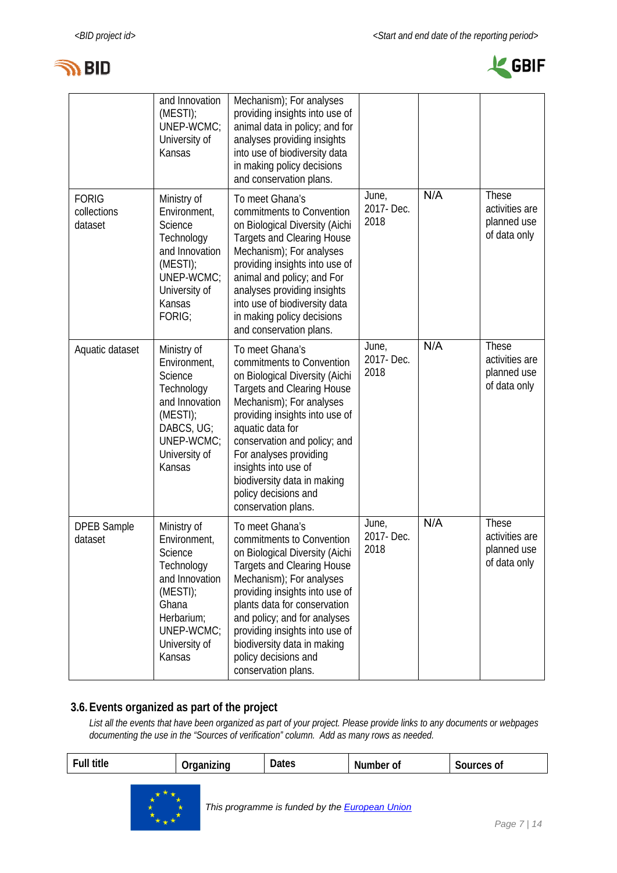



|                                        | and Innovation<br>(MESTI):<br>UNEP-WCMC:<br>University of<br>Kansas                                                                                | Mechanism); For analyses<br>providing insights into use of<br>animal data in policy; and for<br>analyses providing insights<br>into use of biodiversity data<br>in making policy decisions<br>and conservation plans.                                                                                                                                                 |                            |     |                                                               |
|----------------------------------------|----------------------------------------------------------------------------------------------------------------------------------------------------|-----------------------------------------------------------------------------------------------------------------------------------------------------------------------------------------------------------------------------------------------------------------------------------------------------------------------------------------------------------------------|----------------------------|-----|---------------------------------------------------------------|
| <b>FORIG</b><br>collections<br>dataset | Ministry of<br>Environment,<br>Science<br>Technology<br>and Innovation<br>(MESTI)<br>UNEP-WCMC:<br>University of<br>Kansas<br>FORIG:               | To meet Ghana's<br>commitments to Convention<br>on Biological Diversity (Aichi<br><b>Targets and Clearing House</b><br>Mechanism); For analyses<br>providing insights into use of<br>animal and policy; and For<br>analyses providing insights<br>into use of biodiversity data<br>in making policy decisions<br>and conservation plans.                              | June,<br>2017-Dec.<br>2018 | N/A | These<br>activities are<br>planned use<br>of data only        |
| Aquatic dataset                        | Ministry of<br>Environment,<br>Science<br>Technology<br>and Innovation<br>(MESTI);<br>DABCS, UG;<br>UNEP-WCMC;<br>University of<br>Kansas          | To meet Ghana's<br>commitments to Convention<br>on Biological Diversity (Aichi<br><b>Targets and Clearing House</b><br>Mechanism); For analyses<br>providing insights into use of<br>aquatic data for<br>conservation and policy; and<br>For analyses providing<br>insights into use of<br>biodiversity data in making<br>policy decisions and<br>conservation plans. | June,<br>2017-Dec.<br>2018 | N/A | These<br>activities are<br>planned use<br>of data only        |
| <b>DPEB Sample</b><br>dataset          | Ministry of<br>Environment,<br>Science<br>Technology<br>and Innovation<br>(MESTI);<br>Ghana<br>Herbarium;<br>UNEP-WCMC;<br>University of<br>Kansas | To meet Ghana's<br>commitments to Convention<br>on Biological Diversity (Aichi<br>Targets and Clearing House<br>Mechanism); For analyses<br>providing insights into use of<br>plants data for conservation<br>and policy; and for analyses<br>providing insights into use of<br>biodiversity data in making<br>policy decisions and<br>conservation plans.            | June,<br>2017-Dec.<br>2018 | N/A | <b>These</b><br>activities are<br>planned use<br>of data only |

### **3.6.Events organized as part of the project**

*List all the events that have been organized as part of your project. Please provide links to any documents or webpages documenting the use in the "Sources of verification" column. Add as many rows as needed.* 

| <sup>u</sup> title<br>Full | Organizing<br>. . | Dates | Number of | Sources of |
|----------------------------|-------------------|-------|-----------|------------|
|                            |                   |       |           |            |

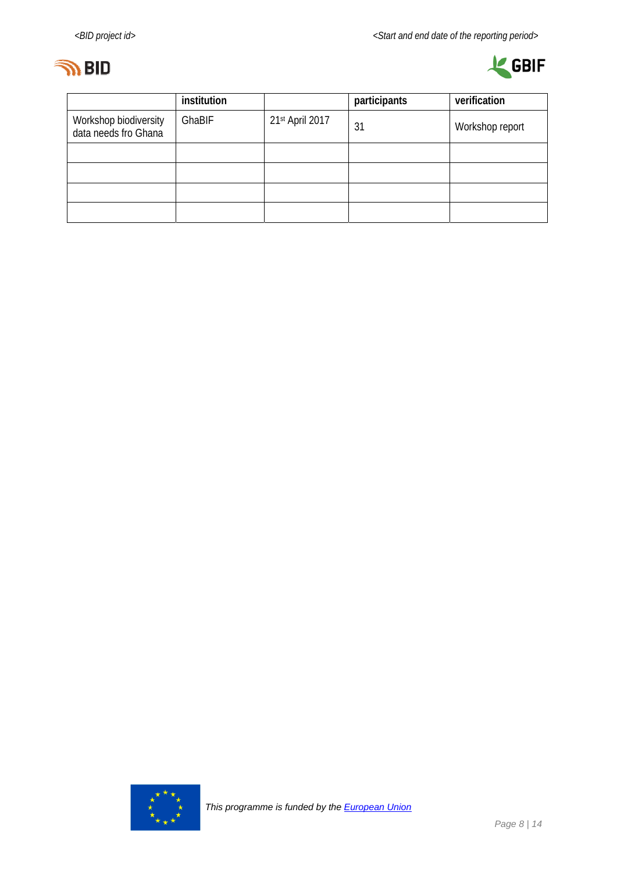



|                                               | institution |                 | participants | verification    |
|-----------------------------------------------|-------------|-----------------|--------------|-----------------|
| Workshop biodiversity<br>data needs fro Ghana | GhaBIF      | 21st April 2017 | 31           | Workshop report |
|                                               |             |                 |              |                 |
|                                               |             |                 |              |                 |
|                                               |             |                 |              |                 |
|                                               |             |                 |              |                 |

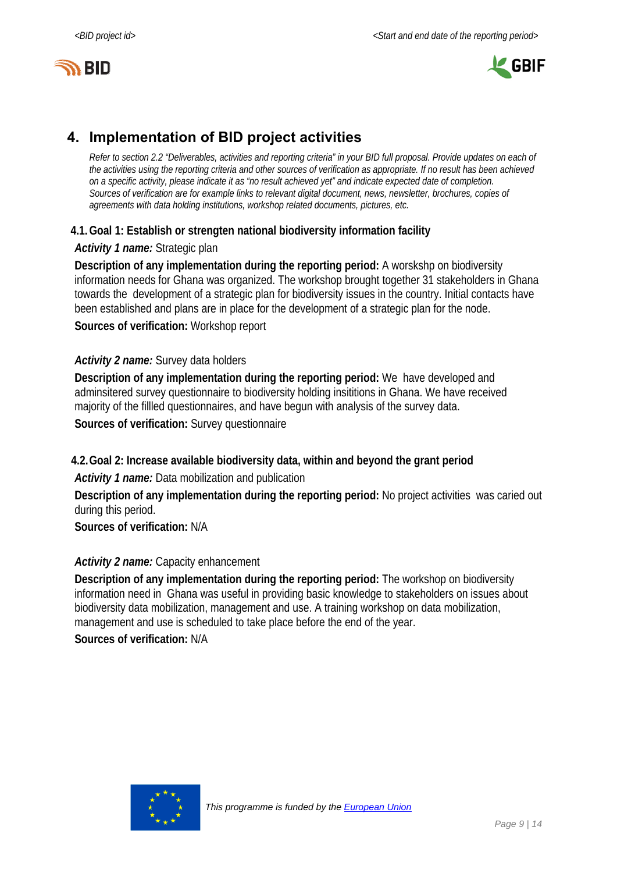



# **4. Implementation of BID project activities**

*Refer to section 2.2 "Deliverables, activities and reporting criteria" in your BID full proposal. Provide updates on each of the activities using the reporting criteria and other sources of verification as appropriate. If no result has been achieved on a specific activity, please indicate it as "no result achieved yet" and indicate expected date of completion. Sources of verification are for example links to relevant digital document, news, newsletter, brochures, copies of agreements with data holding institutions, workshop related documents, pictures, etc.* 

#### **4.1.Goal 1: Establish or strengten national biodiversity information facility**

#### *Activity 1 name:* Strategic plan

**Description of any implementation during the reporting period:** A worskshp on biodiversity information needs for Ghana was organized. The workshop brought together 31 stakeholders in Ghana towards the development of a strategic plan for biodiversity issues in the country. Initial contacts have been established and plans are in place for the development of a strategic plan for the node.

**Sources of verification:** Workshop report

#### *Activity 2 name:* Survey data holders

**Description of any implementation during the reporting period:** We have developed and adminsitered survey questionnaire to biodiversity holding insititions in Ghana. We have received majority of the fillled questionnaires, and have begun with analysis of the survey data.

**Sources of verification:** Survey questionnaire

#### **4.2.Goal 2: Increase available biodiversity data, within and beyond the grant period**

*Activity 1 name:* Data mobilization and publication

**Description of any implementation during the reporting period:** No project activities was caried out during this period.

**Sources of verification:** N/A

#### *Activity 2 name:* Capacity enhancement

**Description of any implementation during the reporting period:** The workshop on biodiversity information need in Ghana was useful in providing basic knowledge to stakeholders on issues about biodiversity data mobilization, management and use. A training workshop on data mobilization, management and use is scheduled to take place before the end of the year.

**Sources of verification:** N/A

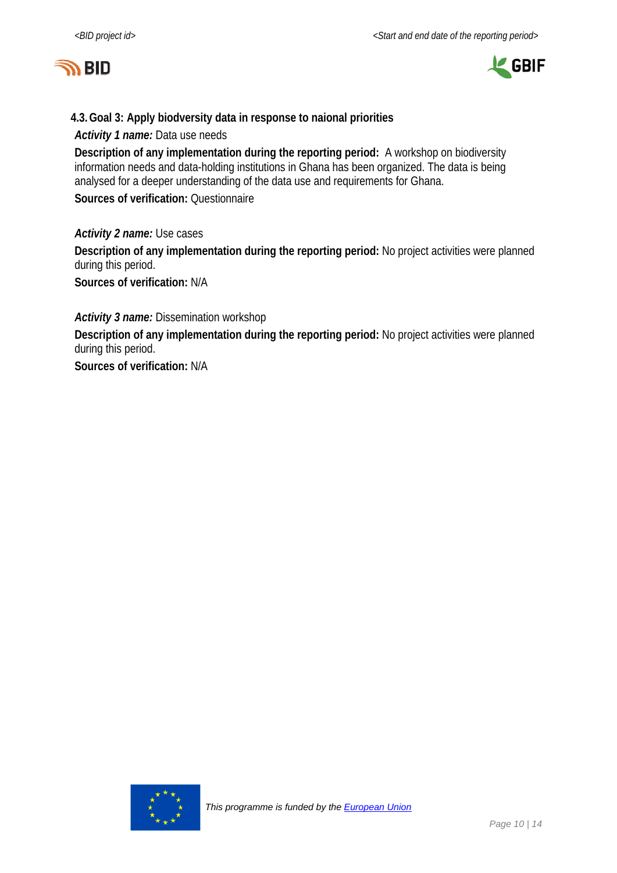



### **4.3.Goal 3: Apply biodversity data in response to naional priorities**

*Activity 1 name:* Data use needs

**Description of any implementation during the reporting period:** A workshop on biodiversity information needs and data-holding institutions in Ghana has been organized. The data is being analysed for a deeper understanding of the data use and requirements for Ghana.

**Sources of verification:** Questionnaire

*Activity 2 name:* Use cases

**Description of any implementation during the reporting period:** No project activities were planned during this period.

**Sources of verification:** N/A

*Activity 3 name:* Dissemination workshop

**Description of any implementation during the reporting period:** No project activities were planned during this period.

**Sources of verification:** N/A

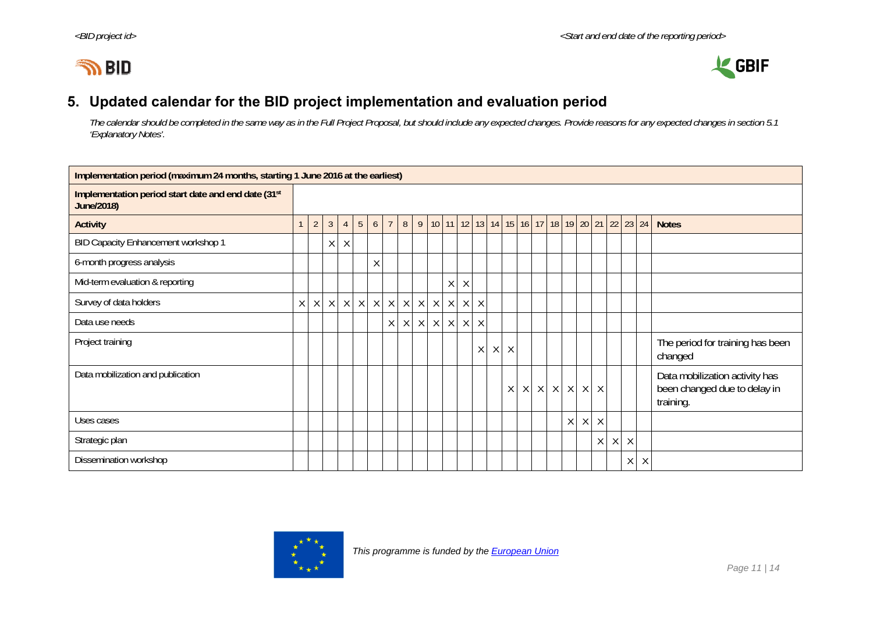



# **5. Updated calendar for the BID project implementation and evaluation period**

*The calendar should be completed in the same way as in the Full Project Proposal, but should include any expected changes. Provide reasons for any expected changes in section 5.1 'Explanatory Notes'.* 

| Implementation period (maximum 24 months, starting 1 June 2016 at the earliest) |  |                |                |                |                 |                 |                |              |   |         |   |          |         |             |   |              |                                                                              |   |              |        |        |        |          |                                                                             |
|---------------------------------------------------------------------------------|--|----------------|----------------|----------------|-----------------|-----------------|----------------|--------------|---|---------|---|----------|---------|-------------|---|--------------|------------------------------------------------------------------------------|---|--------------|--------|--------|--------|----------|-----------------------------------------------------------------------------|
| Implementation period start date and end date (31st<br>June/2018)               |  |                |                |                |                 |                 |                |              |   |         |   |          |         |             |   |              |                                                                              |   |              |        |        |        |          |                                                                             |
| <b>Activity</b>                                                                 |  | $\overline{2}$ | 3 <sup>1</sup> | 4 <sup>7</sup> | $5\phantom{.0}$ | $6\overline{6}$ | $\overline{7}$ | 8            |   |         |   |          |         |             |   |              | 9   10   11   12   13   14   15   16   17   18   19   20   21   22   23   24 |   |              |        |        |        |          | <b>Notes</b>                                                                |
| BID Capacity Enhancement workshop 1                                             |  |                | Χ              | Χ              |                 |                 |                |              |   |         |   |          |         |             |   |              |                                                                              |   |              |        |        |        |          |                                                                             |
| 6-month progress analysis                                                       |  |                |                |                |                 | X               |                |              |   |         |   |          |         |             |   |              |                                                                              |   |              |        |        |        |          |                                                                             |
| Mid-term evaluation & reporting                                                 |  |                |                |                |                 |                 |                |              |   |         | X | $\times$ |         |             |   |              |                                                                              |   |              |        |        |        |          |                                                                             |
| Survey of data holders                                                          |  | $X$ $X$        | $\chi$         | $\sf X$        | $\times$        | $\chi$          | X              | $\mathsf{X}$ | X | $\sf X$ | X | $\sf X$  | $\chi$  |             |   |              |                                                                              |   |              |        |        |        |          |                                                                             |
| Data use needs                                                                  |  |                |                |                |                 |                 | X              | $\sf X$      | X | $\chi$  | X | $\sf X$  | $\sf X$ |             |   |              |                                                                              |   |              |        |        |        |          |                                                                             |
| Project training                                                                |  |                |                |                |                 |                 |                |              |   |         |   |          | $\sf X$ | $\mathsf X$ | Χ |              |                                                                              |   |              |        |        |        |          | The period for training has been<br>changed                                 |
| Data mobilization and publication                                               |  |                |                |                |                 |                 |                |              |   |         |   |          |         |             | χ | $\mathsf{X}$ | $X$ $X$                                                                      | X | $\mathsf{X}$ | $\chi$ |        |        |          | Data mobilization activity has<br>been changed due to delay in<br>training. |
| Uses cases                                                                      |  |                |                |                |                 |                 |                |              |   |         |   |          |         |             |   |              |                                                                              | X | $\chi$       | $\chi$ |        |        |          |                                                                             |
| Strategic plan                                                                  |  |                |                |                |                 |                 |                |              |   |         |   |          |         |             |   |              |                                                                              |   |              | X      | $\chi$ | $\chi$ |          |                                                                             |
| Dissemination workshop                                                          |  |                |                |                |                 |                 |                |              |   |         |   |          |         |             |   |              |                                                                              |   |              |        |        | X      | $\times$ |                                                                             |

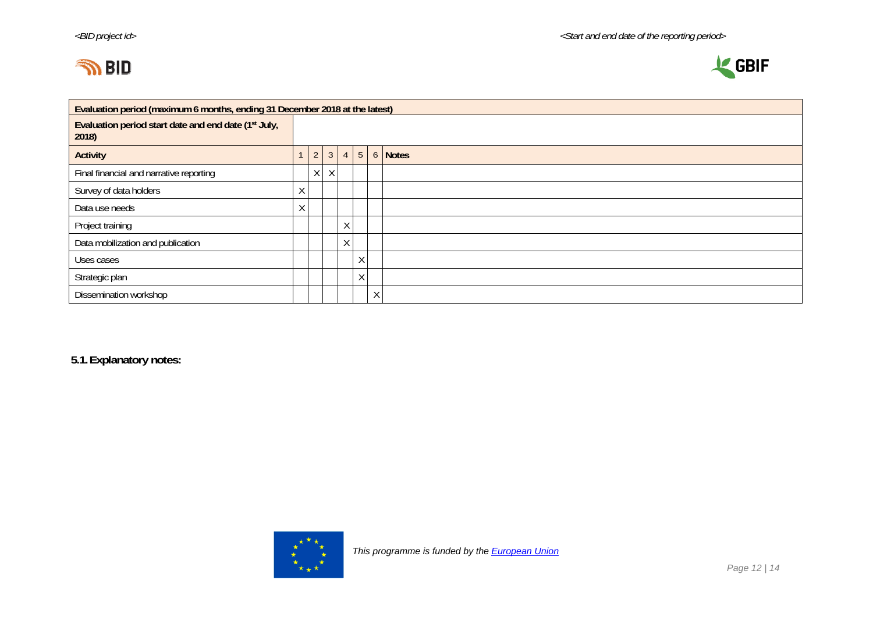



| Evaluation period (maximum 6 months, ending 31 December 2018 at the latest) |   |                |                |   |                  |   |         |  |  |  |  |
|-----------------------------------------------------------------------------|---|----------------|----------------|---|------------------|---|---------|--|--|--|--|
| Evaluation period start date and end date (1st July,<br>2018)               |   |                |                |   |                  |   |         |  |  |  |  |
| <b>Activity</b>                                                             |   | $\overline{2}$ | 3 <sup>3</sup> |   | $4 \overline{5}$ |   | 6 Notes |  |  |  |  |
| Final financial and narrative reporting                                     |   | Χ              | $\sf X$        |   |                  |   |         |  |  |  |  |
| Survey of data holders                                                      | χ |                |                |   |                  |   |         |  |  |  |  |
| Data use needs                                                              | χ |                |                |   |                  |   |         |  |  |  |  |
| Project training                                                            |   |                |                | Χ |                  |   |         |  |  |  |  |
| Data mobilization and publication                                           |   |                |                | Χ |                  |   |         |  |  |  |  |
| Uses cases                                                                  |   |                |                |   | X                |   |         |  |  |  |  |
| Strategic plan                                                              |   |                |                |   | χ                |   |         |  |  |  |  |
| Dissemination workshop                                                      |   |                |                |   |                  | X |         |  |  |  |  |

**5.1.Explanatory notes:** 

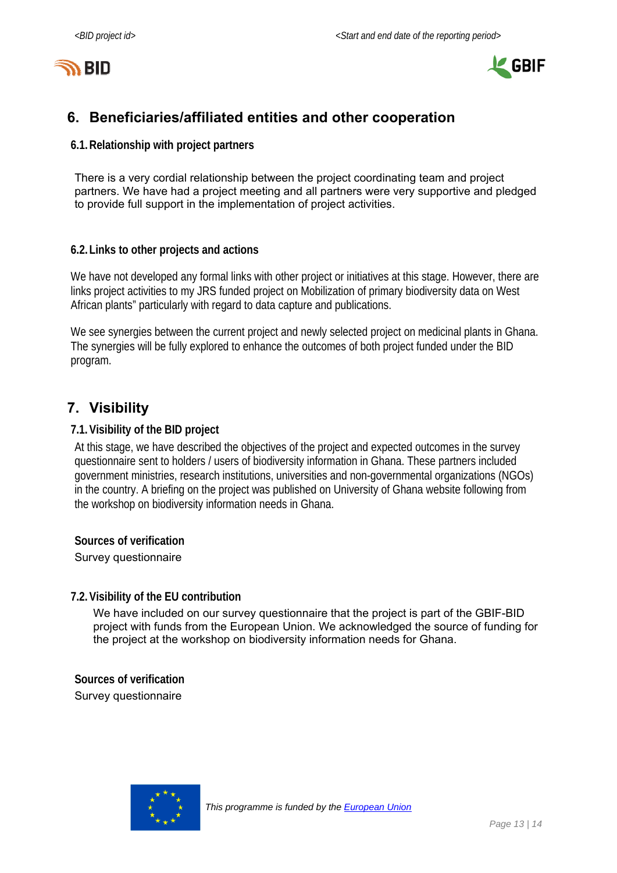



# **6. Beneficiaries/affiliated entities and other cooperation**

#### **6.1.Relationship with project partners**

There is a very cordial relationship between the project coordinating team and project partners. We have had a project meeting and all partners were very supportive and pledged to provide full support in the implementation of project activities.

#### **6.2.Links to other projects and actions**

We have not developed any formal links with other project or initiatives at this stage. However, there are links project activities to my JRS funded project on Mobilization of primary biodiversity data on West African plants" particularly with regard to data capture and publications.

We see synergies between the current project and newly selected project on medicinal plants in Ghana. The synergies will be fully explored to enhance the outcomes of both project funded under the BID program.

### **7. Visibility**

#### **7.1.Visibility of the BID project**

At this stage, we have described the objectives of the project and expected outcomes in the survey questionnaire sent to holders / users of biodiversity information in Ghana. These partners included government ministries, research institutions, universities and non-governmental organizations (NGOs) in the country. A briefing on the project was published on University of Ghana website following from the workshop on biodiversity information needs in Ghana.

**Sources of verification** 

Survey questionnaire

#### **7.2.Visibility of the EU contribution**

We have included on our survey questionnaire that the project is part of the GBIF-BID project with funds from the European Union. We acknowledged the source of funding for the project at the workshop on biodiversity information needs for Ghana.

**Sources of verification**  Survey questionnaire